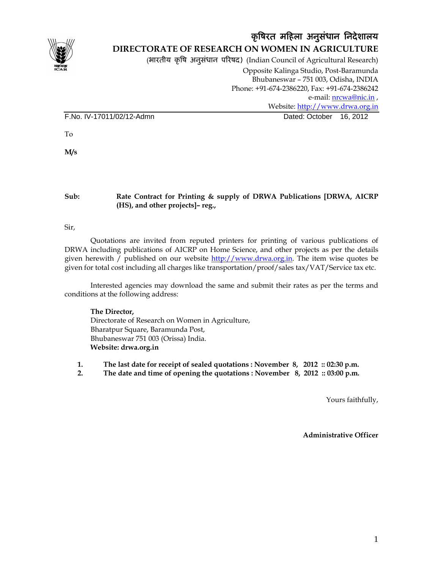

## कृषिरत महिला अनुसंधान निदेशालय **DIRECTORATE OF RESEARCH ON WOMEN IN AGRICULTURE**

(भारतीय कृषि अनुसंधान परिषद) (Indian Council of Agricultural Research)

Opposite Kalinga Studio, Post-Baramunda Bhubaneswar – 751 003, Odisha, INDIA Phone: +91-674-2386220, Fax: +91-674-2386242 e-mail: nrcwa@nic.in, Website: http://www.drwa.org.in F.No. IV-17011/02/12-Admn Dated: October 16, 2012

To

**M/s** 

#### **Sub: Rate Contract for Printing & supply of DRWA Publications [DRWA, AICRP (HS), and other projects]– reg.,**

Sir,

Quotations are invited from reputed printers for printing of various publications of DRWA including publications of AICRP on Home Science, and other projects as per the details given herewith / published on our website http://www.drwa.org.in. The item wise quotes be given for total cost including all charges like transportation/proof/sales tax/VAT/Service tax etc.

Interested agencies may download the same and submit their rates as per the terms and conditions at the following address:

**The Director,**  Directorate of Research on Women in Agriculture, Bharatpur Square, Baramunda Post, Bhubaneswar 751 003 (Orissa) India. **Website: drwa.org.in** 

**1. The last date for receipt of sealed quotations : November 8, 2012 :: 02:30 p.m.** 

**2. The date and time of opening the quotations : November 8, 2012 :: 03:00 p.m.** 

Yours faithfully,

 **Administrative Officer**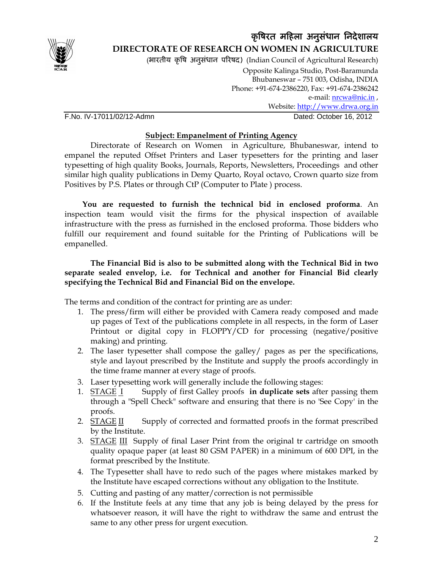

## कृषिरत महिला अनुसंधान निदेशालय **DIRECTORATE OF RESEARCH ON WOMEN IN AGRICULTURE**

(भारतीय कृषि अनुसंधान परिषद) (Indian Council of Agricultural Research) Opposite Kalinga Studio, Post-Baramunda

Bhubaneswar – 751 003, Odisha, INDIA Phone: +91-674-2386220, Fax: +91-674-2386242 e-mail: *nrcwa@nic.in*, Website: http://www.drwa.org.in F.No. IV-17011/02/12-Admn Dated: October 16, 2012

### **Subject: Empanelment of Printing Agency**

 Directorate of Research on Women in Agriculture, Bhubaneswar, intend to empanel the reputed Offset Printers and Laser typesetters for the printing and laser typesetting of high quality Books, Journals, Reports, Newsletters, Proceedings and other similar high quality publications in Demy Quarto, Royal octavo, Crown quarto size from Positives by P.S. Plates or through CtP (Computer to Plate ) process.

 **You are requested to furnish the technical bid in enclosed proforma**. An inspection team would visit the firms for the physical inspection of available infrastructure with the press as furnished in the enclosed proforma. Those bidders who fulfill our requirement and found suitable for the Printing of Publications will be empanelled.

#### **The Financial Bid is also to be submitted along with the Technical Bid in two separate sealed envelop, i.e. for Technical and another for Financial Bid clearly specifying the Technical Bid and Financial Bid on the envelope.**

The terms and condition of the contract for printing are as under:

- 1. The press/firm will either be provided with Camera ready composed and made up pages of Text of the publications complete in all respects, in the form of Laser Printout or digital copy in FLOPPY/CD for processing (negative/positive making) and printing.
- 2. The laser typesetter shall compose the galley/ pages as per the specifications, style and layout prescribed by the Institute and supply the proofs accordingly in the time frame manner at every stage of proofs.
- 3. Laser typesetting work will generally include the following stages:
- 1. STAGE I Supply of first Galley proofs **in duplicate sets** after passing them through a "Spell Check" software and ensuring that there is no 'See Copy' in the proofs.
- 2. STAGE II Supply of corrected and formatted proofs in the format prescribed by the Institute.
- 3. STAGE III Supply of final Laser Print from the original tr cartridge on smooth quality opaque paper (at least 80 GSM PAPER) in a minimum of 600 DPI, in the format prescribed by the Institute.
- 4. The Typesetter shall have to redo such of the pages where mistakes marked by the Institute have escaped corrections without any obligation to the Institute.
- 5. Cutting and pasting of any matter/correction is not permissible
- 6. If the Institute feels at any time that any job is being delayed by the press for whatsoever reason, it will have the right to withdraw the same and entrust the same to any other press for urgent execution.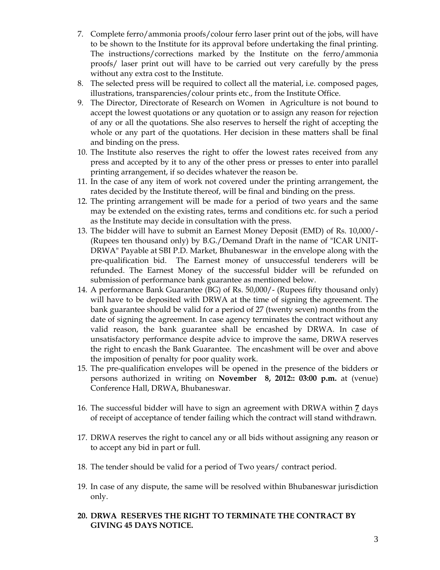- 7. Complete ferro/ammonia proofs/colour ferro laser print out of the jobs, will have to be shown to the Institute for its approval before undertaking the final printing. The instructions/corrections marked by the Institute on the ferro/ammonia proofs/ laser print out will have to be carried out very carefully by the press without any extra cost to the Institute.
- 8. The selected press will be required to collect all the material, i.e. composed pages, illustrations, transparencies/colour prints etc., from the Institute Office.
- 9. The Director, Directorate of Research on Women in Agriculture is not bound to accept the lowest quotations or any quotation or to assign any reason for rejection of any or all the quotations. She also reserves to herself the right of accepting the whole or any part of the quotations. Her decision in these matters shall be final and binding on the press.
- 10. The Institute also reserves the right to offer the lowest rates received from any press and accepted by it to any of the other press or presses to enter into parallel printing arrangement, if so decides whatever the reason be.
- 11. In the case of any item of work not covered under the printing arrangement, the rates decided by the Institute thereof, will be final and binding on the press.
- 12. The printing arrangement will be made for a period of two years and the same may be extended on the existing rates, terms and conditions etc. for such a period as the Institute may decide in consultation with the press.
- 13. The bidder will have to submit an Earnest Money Deposit (EMD) of Rs. 10,000/- (Rupees ten thousand only) by B.G./Demand Draft in the name of "ICAR UNIT-DRWA" Payable at SBI P.D. Market, Bhubaneswar in the envelope along with the pre-qualification bid. The Earnest money of unsuccessful tenderers will be refunded. The Earnest Money of the successful bidder will be refunded on submission of performance bank guarantee as mentioned below.
- 14. A performance Bank Guarantee (BG) of Rs. 50,000/- (Rupees fifty thousand only) will have to be deposited with DRWA at the time of signing the agreement. The bank guarantee should be valid for a period of 27 (twenty seven) months from the date of signing the agreement. In case agency terminates the contract without any valid reason, the bank guarantee shall be encashed by DRWA. In case of unsatisfactory performance despite advice to improve the same, DRWA reserves the right to encash the Bank Guarantee. The encashment will be over and above the imposition of penalty for poor quality work.
- 15. The pre-qualification envelopes will be opened in the presence of the bidders or persons authorized in writing on **November 8, 2012:: 03:00 p.m.** at (venue) Conference Hall, DRWA, Bhubaneswar.
- 16. The successful bidder will have to sign an agreement with DRWA within **7** days of receipt of acceptance of tender failing which the contract will stand withdrawn.
- 17. DRWA reserves the right to cancel any or all bids without assigning any reason or to accept any bid in part or full.
- 18. The tender should be valid for a period of Two years/ contract period.
- 19. In case of any dispute, the same will be resolved within Bhubaneswar jurisdiction only.
- **20. DRWA RESERVES THE RIGHT TO TERMINATE THE CONTRACT BY GIVING 45 DAYS NOTICE.**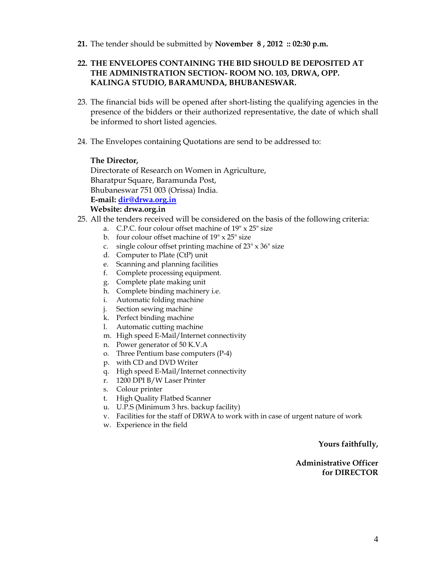**21.** The tender should be submitted by **November 8 , 2012 :: 02:30 p.m.** 

#### **22. THE ENVELOPES CONTAINING THE BID SHOULD BE DEPOSITED AT THE ADMINISTRATION SECTION- ROOM NO. 103, DRWA, OPP. KALINGA STUDIO, BARAMUNDA, BHUBANESWAR.**

- 23. The financial bids will be opened after short-listing the qualifying agencies in the presence of the bidders or their authorized representative, the date of which shall be informed to short listed agencies.
- 24. The Envelopes containing Quotations are send to be addressed to:

#### **The Director,**

Directorate of Research on Women in Agriculture, Bharatpur Square, Baramunda Post, Bhubaneswar 751 003 (Orissa) India. **E-mail: dir@drwa.org.in** 

#### **Website: drwa.org.in**

- 25. All the tenders received will be considered on the basis of the following criteria:
	- a. C.P.C. four colour offset machine of 19" x 25" size
	- b. four colour offset machine of  $19" \times 25"$  size
	- c. single colour offset printing machine of 23" x 36" size
	- d. Computer to Plate (CtP) unit
	- e. Scanning and planning facilities
	- f. Complete processing equipment.
	- g. Complete plate making unit
	- h. Complete binding machinery i.e.
	- i. Automatic folding machine
	- j. Section sewing machine
	- k. Perfect binding machine
	- l. Automatic cutting machine
	- m. High speed E-Mail/Internet connectivity
	- n. Power generator of 50 K.V.A
	- o. Three Pentium base computers (P-4)
	- p. with CD and DVD Writer
	- q. High speed E-Mail/Internet connectivity
	- r. 1200 DPI B/W Laser Printer
	- s. Colour printer
	- t. High Quality Flatbed Scanner
	- u. U.P.S (Minimum 3 hrs. backup facility)
	- v. Facilities for the staff of DRWA to work with in case of urgent nature of work
	- w. Experience in the field

#### **Yours faithfully,**

#### **Administrative Officer for DIRECTOR**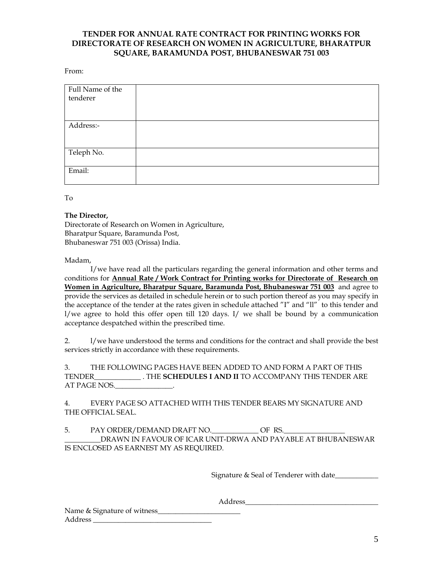#### **TENDER FOR ANNUAL RATE CONTRACT FOR PRINTING WORKS FOR DIRECTORATE OF RESEARCH ON WOMEN IN AGRICULTURE, BHARATPUR SQUARE, BARAMUNDA POST, BHUBANESWAR 751 003**

From:

| Full Name of the |  |
|------------------|--|
| tenderer         |  |
|                  |  |
|                  |  |
| Address:-        |  |
|                  |  |
|                  |  |
| Teleph No.       |  |
|                  |  |
| Email:           |  |
|                  |  |

To

#### **The Director,**

Directorate of Research on Women in Agriculture, Bharatpur Square, Baramunda Post, Bhubaneswar 751 003 (Orissa) India.

Madam,

 I/we have read all the particulars regarding the general information and other terms and conditions for **Annual Rate / Work Contract for Printing works for Directorate of Research on Women in Agriculture, Bharatpur Square, Baramunda Post, Bhubaneswar 751 003** and agree to provide the services as detailed in schedule herein or to such portion thereof as you may specify in the acceptance of the tender at the rates given in schedule attached "I" and "ll" to this tender and l/we agree to hold this offer open till 120 days. I/ we shall be bound by a communication acceptance despatched within the prescribed time.

2. l/we have understood the terms and conditions for the contract and shall provide the best services strictly in accordance with these requirements.

3. THE FOLLOWING PAGES HAVE BEEN ADDED TO AND FORM A PART OF THIS TENDER\_\_\_\_\_\_\_\_\_\_\_\_\_ . THE **SCHEDULES I AND II** TO ACCOMPANY THIS TENDER ARE AT PAGE NOS.\_\_\_\_\_\_\_\_\_\_\_\_\_\_\_\_.

4. EVERY PAGE SO ATTACHED WITH THIS TENDER BEARS MY SIGNATURE AND THE OFFICIAL SEAL.

5. PAY ORDER/DEMAND DRAFT NO. \_\_\_\_\_\_\_\_\_\_\_\_\_\_\_\_ OF RS. \_\_\_\_\_\_\_\_\_\_DRAWN IN FAVOUR OF ICAR UNIT-DRWA AND PAYABLE AT BHUBANESWAR IS ENCLOSED AS EARNEST MY AS REQUIRED.

Signature & Seal of Tenderer with date

Address\_\_\_\_\_\_\_\_\_\_\_\_\_\_\_\_\_\_\_\_\_\_\_\_\_\_\_\_\_\_\_\_\_\_\_\_\_

Name & Signature of witness\_\_\_\_\_\_\_\_\_\_\_\_\_\_\_\_\_\_\_\_\_\_\_ Address \_\_\_\_\_\_\_\_\_\_\_\_\_\_\_\_\_\_\_\_\_\_\_\_\_\_\_\_\_\_\_\_\_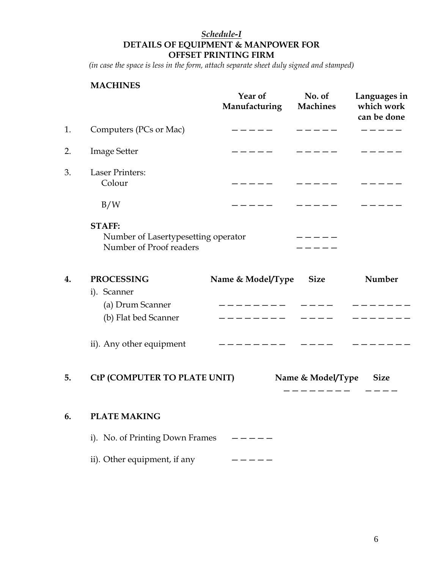## *Schedule-I* **DETAILS OF EQUIPMENT & MANPOWER FOR OFFSET PRINTING FIRM**

*(in case the space is less in the form, attach separate sheet duly signed and stamped)* 

## **MACHINES**

|    |                                                                                 | Year of<br>Manufacturing                                                                                                                                                                                                                                                                                                                                                                                                                                                        | No. of<br><b>Machines</b>                   | Languages in<br>which work<br>can be done |
|----|---------------------------------------------------------------------------------|---------------------------------------------------------------------------------------------------------------------------------------------------------------------------------------------------------------------------------------------------------------------------------------------------------------------------------------------------------------------------------------------------------------------------------------------------------------------------------|---------------------------------------------|-------------------------------------------|
| 1. | Computers (PCs or Mac)                                                          | $------$                                                                                                                                                                                                                                                                                                                                                                                                                                                                        | $- - - - -$                                 | $   -$                                    |
| 2. | <b>Image Setter</b>                                                             |                                                                                                                                                                                                                                                                                                                                                                                                                                                                                 |                                             |                                           |
| 3. | <b>Laser Printers:</b><br>Colour                                                |                                                                                                                                                                                                                                                                                                                                                                                                                                                                                 |                                             |                                           |
|    | B/W                                                                             | $\overline{\phantom{a}}$ $\overline{\phantom{a}}$ $\overline{\phantom{a}}$ $\overline{\phantom{a}}$ $\overline{\phantom{a}}$ $\overline{\phantom{a}}$ $\overline{\phantom{a}}$ $\overline{\phantom{a}}$ $\overline{\phantom{a}}$ $\overline{\phantom{a}}$ $\overline{\phantom{a}}$ $\overline{\phantom{a}}$ $\overline{\phantom{a}}$ $\overline{\phantom{a}}$ $\overline{\phantom{a}}$ $\overline{\phantom{a}}$ $\overline{\phantom{a}}$ $\overline{\phantom{a}}$ $\overline{\$ |                                             |                                           |
|    | <b>STAFF:</b><br>Number of Lasertypesetting operator<br>Number of Proof readers |                                                                                                                                                                                                                                                                                                                                                                                                                                                                                 |                                             |                                           |
| 4. | <b>PROCESSING</b>                                                               | Name & Model/Type Size                                                                                                                                                                                                                                                                                                                                                                                                                                                          |                                             | Number                                    |
|    | i). Scanner<br>(a) Drum Scanner<br>(b) Flat bed Scanner                         | - - - - - - - -                                                                                                                                                                                                                                                                                                                                                                                                                                                                 | $\qquad \qquad - - - -$                     |                                           |
|    | ii). Any other equipment                                                        | --------- ----                                                                                                                                                                                                                                                                                                                                                                                                                                                                  |                                             |                                           |
| 5. | CtP (COMPUTER TO PLATE UNIT)                                                    |                                                                                                                                                                                                                                                                                                                                                                                                                                                                                 | Name & Model/Type Size<br>. _ _ _ _ _ _ _ _ |                                           |
| 6. | <b>PLATE MAKING</b>                                                             |                                                                                                                                                                                                                                                                                                                                                                                                                                                                                 |                                             |                                           |
|    | i). No. of Printing Down Frames                                                 | $- - - - -$                                                                                                                                                                                                                                                                                                                                                                                                                                                                     |                                             |                                           |
|    | ii). Other equipment, if any                                                    | -----                                                                                                                                                                                                                                                                                                                                                                                                                                                                           |                                             |                                           |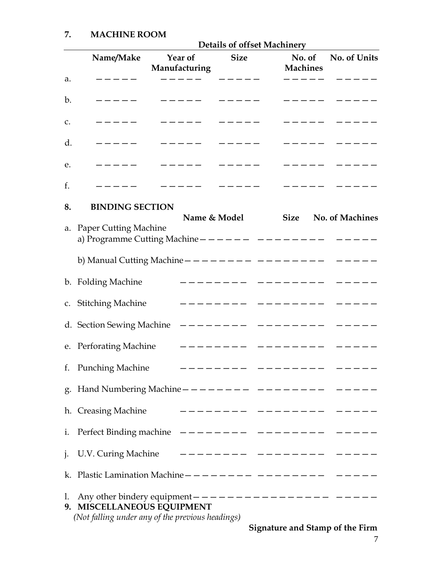|    |                                                                                                                                             | <b>Details of offset Machinery</b> |              |  |                        |                 |  |  |
|----|---------------------------------------------------------------------------------------------------------------------------------------------|------------------------------------|--------------|--|------------------------|-----------------|--|--|
|    | Name/Make                                                                                                                                   | Year of<br>Manufacturing           | <b>Size</b>  |  | No. of<br>Machines     | No. of Units    |  |  |
| a. | $- - - -$                                                                                                                                   |                                    |              |  |                        |                 |  |  |
| b. | $------$                                                                                                                                    | $   -$                             | ______       |  | ------ ----            |                 |  |  |
| C. | $- - - - -$                                                                                                                                 | ______ ____                        |              |  |                        | ______ ____     |  |  |
| d. | $\qquad \qquad - - - - -$                                                                                                                   | $\qquad \qquad - - - - -$          | $    -$      |  |                        | ------ -----    |  |  |
| e. | $\qquad \qquad - - - - -$                                                                                                                   | ------ -----                       |              |  |                        | ------ ----     |  |  |
| f. |                                                                                                                                             | $- - - - -$                        |              |  | —————————              |                 |  |  |
| 8. | <b>BINDING SECTION</b>                                                                                                                      |                                    | Name & Model |  | <b>Size</b>            | No. of Machines |  |  |
| a. | <b>Paper Cutting Machine</b><br>a) Programme Cutting Machine $------------------------$                                                     |                                    |              |  |                        |                 |  |  |
|    | b) Manual Cutting Machine $---------------------$                                                                                           |                                    |              |  |                        |                 |  |  |
|    | b. Folding Machine                                                                                                                          |                                    |              |  | _________ ___________  |                 |  |  |
|    | c. Stitching Machine                                                                                                                        |                                    |              |  | -------- -------- ---- |                 |  |  |
|    |                                                                                                                                             |                                    |              |  |                        |                 |  |  |
|    | e. Perforating Machine                                                                                                                      |                                    |              |  |                        |                 |  |  |
|    | f. Punching Machine                                                                                                                         |                                    |              |  |                        |                 |  |  |
|    |                                                                                                                                             |                                    |              |  |                        |                 |  |  |
|    | h. Creasing Machine                                                                                                                         |                                    |              |  |                        |                 |  |  |
|    | i. Perfect Binding machine $----- -- -- -- ---$                                                                                             |                                    |              |  |                        |                 |  |  |
|    | j. U.V. Curing Machine                                                                                                                      |                                    |              |  |                        |                 |  |  |
|    |                                                                                                                                             |                                    |              |  |                        |                 |  |  |
| 1. | Any other bindery equipment $---------------------------$<br>9. MISCELLANEOUS EQUIPMENT<br>(Not falling under any of the previous headings) |                                    |              |  |                        |                 |  |  |

**Signature and Stamp of the Firm**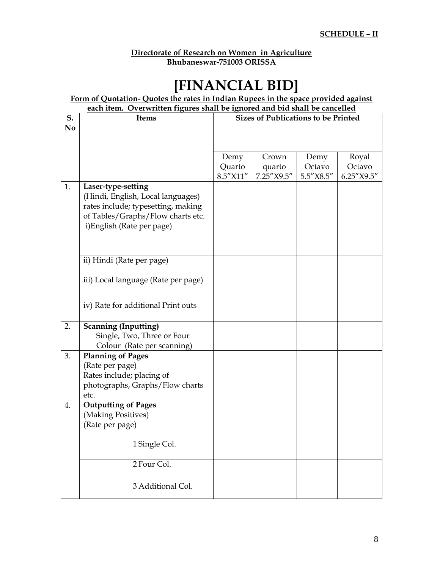#### **Directorate of Research on Women in Agriculture Bhubaneswar-751003 ORISSA**

# **[FINANCIAL BID]**

**Form of Quotation- Quotes the rates in Indian Rupees in the space provided against each item. Overwritten figures shall be ignored and bid shall be cancelled**

| S.             | <b>Items</b>                                                            | <b>Sizes of Publications to be Printed</b> |            |               |            |
|----------------|-------------------------------------------------------------------------|--------------------------------------------|------------|---------------|------------|
| N <sub>0</sub> |                                                                         |                                            |            |               |            |
|                |                                                                         |                                            |            |               |            |
|                |                                                                         |                                            |            |               |            |
|                |                                                                         | Demy                                       | Crown      | Demy          | Royal      |
|                |                                                                         | Quarto                                     | quarto     | Octavo        | Octavo     |
|                |                                                                         | 8.5"X11"                                   | 7.25"X9.5" | $5.5''$ X8.5" | 6.25"X9.5" |
| 1.             | Laser-type-setting                                                      |                                            |            |               |            |
|                | (Hindi, English, Local languages)                                       |                                            |            |               |            |
|                | rates include; typesetting, making<br>of Tables/Graphs/Flow charts etc. |                                            |            |               |            |
|                | i)English (Rate per page)                                               |                                            |            |               |            |
|                |                                                                         |                                            |            |               |            |
|                |                                                                         |                                            |            |               |            |
|                |                                                                         |                                            |            |               |            |
|                | ii) Hindi (Rate per page)                                               |                                            |            |               |            |
|                |                                                                         |                                            |            |               |            |
|                | iii) Local language (Rate per page)                                     |                                            |            |               |            |
|                |                                                                         |                                            |            |               |            |
|                | iv) Rate for additional Print outs                                      |                                            |            |               |            |
|                |                                                                         |                                            |            |               |            |
| 2.             | <b>Scanning (Inputting)</b>                                             |                                            |            |               |            |
|                | Single, Two, Three or Four                                              |                                            |            |               |            |
|                | Colour (Rate per scanning)                                              |                                            |            |               |            |
| 3.             | <b>Planning of Pages</b>                                                |                                            |            |               |            |
|                | (Rate per page)                                                         |                                            |            |               |            |
|                | Rates include; placing of                                               |                                            |            |               |            |
|                | photographs, Graphs/Flow charts                                         |                                            |            |               |            |
|                | etc.<br><b>Outputting of Pages</b>                                      |                                            |            |               |            |
| 4.             | (Making Positives)                                                      |                                            |            |               |            |
|                | (Rate per page)                                                         |                                            |            |               |            |
|                |                                                                         |                                            |            |               |            |
|                | 1 Single Col.                                                           |                                            |            |               |            |
|                |                                                                         |                                            |            |               |            |
|                | 2 Four Col.                                                             |                                            |            |               |            |
|                |                                                                         |                                            |            |               |            |
|                | 3 Additional Col.                                                       |                                            |            |               |            |
|                |                                                                         |                                            |            |               |            |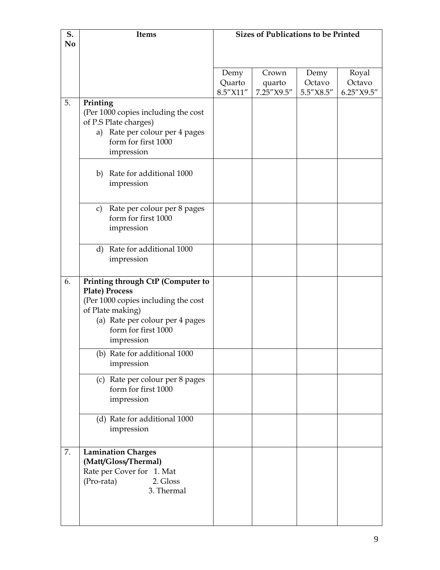| S.             | Items                                                                | <b>Sizes of Publications to be Printed</b> |            |           |            |
|----------------|----------------------------------------------------------------------|--------------------------------------------|------------|-----------|------------|
| N <sub>0</sub> |                                                                      |                                            |            |           |            |
|                |                                                                      |                                            |            |           |            |
|                |                                                                      | Demy                                       | Crown      | Demy      | Royal      |
|                |                                                                      | Quarto                                     | quarto     | Octavo    | Octavo     |
|                |                                                                      | 8.5"X11"                                   | 7.25"X9.5" | 5.5"X8.5" | 6.25"X9.5" |
| 5.             | Printing                                                             |                                            |            |           |            |
|                | (Per 1000 copies including the cost<br>of P.S Plate charges)         |                                            |            |           |            |
|                | Rate per colour per 4 pages<br>a)                                    |                                            |            |           |            |
|                | form for first 1000                                                  |                                            |            |           |            |
|                | impression                                                           |                                            |            |           |            |
|                |                                                                      |                                            |            |           |            |
|                | b) Rate for additional 1000                                          |                                            |            |           |            |
|                | impression                                                           |                                            |            |           |            |
|                |                                                                      |                                            |            |           |            |
|                | Rate per colour per 8 pages<br>$\mathbf{C}$ )<br>form for first 1000 |                                            |            |           |            |
|                | impression                                                           |                                            |            |           |            |
|                |                                                                      |                                            |            |           |            |
|                | d) Rate for additional 1000                                          |                                            |            |           |            |
|                | impression                                                           |                                            |            |           |            |
|                |                                                                      |                                            |            |           |            |
| 6.             | Printing through CtP (Computer to<br>Plate) Process                  |                                            |            |           |            |
|                | (Per 1000 copies including the cost                                  |                                            |            |           |            |
|                | of Plate making)                                                     |                                            |            |           |            |
|                | (a) Rate per colour per 4 pages                                      |                                            |            |           |            |
|                | form for first 1000                                                  |                                            |            |           |            |
|                | impression                                                           |                                            |            |           |            |
|                | (b) Rate for additional 1000                                         |                                            |            |           |            |
|                | impression                                                           |                                            |            |           |            |
|                | (c) Rate per colour per 8 pages                                      |                                            |            |           |            |
|                | form for first 1000                                                  |                                            |            |           |            |
|                | impression                                                           |                                            |            |           |            |
|                | (d) Rate for additional 1000                                         |                                            |            |           |            |
|                | impression                                                           |                                            |            |           |            |
|                |                                                                      |                                            |            |           |            |
| 7.             | <b>Lamination Charges</b>                                            |                                            |            |           |            |
|                | (Matt/Gloss/Thermal)                                                 |                                            |            |           |            |
|                | Rate per Cover for 1. Mat<br>(Pro-rata)<br>2. Gloss                  |                                            |            |           |            |
|                | 3. Thermal                                                           |                                            |            |           |            |
|                |                                                                      |                                            |            |           |            |
|                |                                                                      |                                            |            |           |            |
|                |                                                                      |                                            |            |           |            |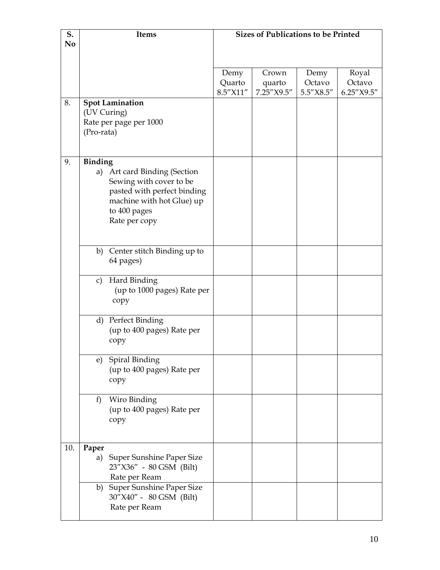| S.             | Items                                                      | <b>Sizes of Publications to be Printed</b> |                      |                |                 |
|----------------|------------------------------------------------------------|--------------------------------------------|----------------------|----------------|-----------------|
| N <sub>0</sub> |                                                            |                                            |                      |                |                 |
|                |                                                            |                                            |                      |                |                 |
|                |                                                            |                                            |                      |                |                 |
|                |                                                            | Demy<br>Quarto                             | Crown                | Demy<br>Octavo | Royal<br>Octavo |
|                |                                                            | 8.5"X11"                                   | quarto<br>7.25"X9.5" | 5.5"X8.5"      | 6.25"X9.5"      |
| 8.             | <b>Spot Lamination</b>                                     |                                            |                      |                |                 |
|                | (UV Curing)                                                |                                            |                      |                |                 |
|                | Rate per page per 1000                                     |                                            |                      |                |                 |
|                | (Pro-rata)                                                 |                                            |                      |                |                 |
|                |                                                            |                                            |                      |                |                 |
|                |                                                            |                                            |                      |                |                 |
| 9.             | <b>Binding</b>                                             |                                            |                      |                |                 |
|                | Art card Binding (Section<br>a)<br>Sewing with cover to be |                                            |                      |                |                 |
|                | pasted with perfect binding                                |                                            |                      |                |                 |
|                | machine with hot Glue) up                                  |                                            |                      |                |                 |
|                | to 400 pages                                               |                                            |                      |                |                 |
|                | Rate per copy                                              |                                            |                      |                |                 |
|                |                                                            |                                            |                      |                |                 |
|                |                                                            |                                            |                      |                |                 |
|                | b) Center stitch Binding up to                             |                                            |                      |                |                 |
|                | 64 pages)                                                  |                                            |                      |                |                 |
|                | Hard Binding<br>$\mathbf{c}$                               |                                            |                      |                |                 |
|                | (up to 1000 pages) Rate per                                |                                            |                      |                |                 |
|                | copy                                                       |                                            |                      |                |                 |
|                |                                                            |                                            |                      |                |                 |
|                | d) Perfect Binding                                         |                                            |                      |                |                 |
|                | (up to 400 pages) Rate per                                 |                                            |                      |                |                 |
|                | copy                                                       |                                            |                      |                |                 |
|                |                                                            |                                            |                      |                |                 |
|                | e) Spiral Binding<br>(up to 400 pages) Rate per            |                                            |                      |                |                 |
|                | copy                                                       |                                            |                      |                |                 |
|                |                                                            |                                            |                      |                |                 |
|                | Wiro Binding<br>f                                          |                                            |                      |                |                 |
|                | (up to 400 pages) Rate per                                 |                                            |                      |                |                 |
|                | copy                                                       |                                            |                      |                |                 |
|                |                                                            |                                            |                      |                |                 |
|                |                                                            |                                            |                      |                |                 |
| 10.            | Paper<br><b>Super Sunshine Paper Size</b><br>a)            |                                            |                      |                |                 |
|                | 23"X36" - 80 GSM (Bilt)                                    |                                            |                      |                |                 |
|                | Rate per Ream                                              |                                            |                      |                |                 |
|                | b) Super Sunshine Paper Size                               |                                            |                      |                |                 |
|                | 30"X40" - 80 GSM (Bilt)                                    |                                            |                      |                |                 |
|                | Rate per Ream                                              |                                            |                      |                |                 |
|                |                                                            |                                            |                      |                |                 |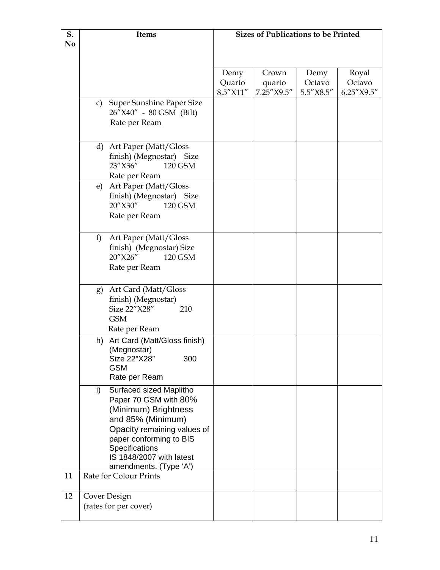| S. | Items        |                                                  | <b>Sizes of Publications to be Printed</b> |            |           |            |
|----|--------------|--------------------------------------------------|--------------------------------------------|------------|-----------|------------|
| No |              |                                                  |                                            |            |           |            |
|    |              |                                                  |                                            |            |           |            |
|    |              |                                                  | Demy                                       | Crown      | Demy      | Royal      |
|    |              |                                                  | Quarto                                     | quarto     | Octavo    | Octavo     |
|    |              |                                                  | 8.5"X11"                                   | 7.25"X9.5" | 5.5"X8.5" | 6.25"X9.5" |
|    | $\mathbf{C}$ | <b>Super Sunshine Paper Size</b>                 |                                            |            |           |            |
|    |              | 26"X40" - 80 GSM (Bilt)                          |                                            |            |           |            |
|    |              | Rate per Ream                                    |                                            |            |           |            |
|    |              |                                                  |                                            |            |           |            |
|    |              | d) Art Paper (Matt/Gloss                         |                                            |            |           |            |
|    |              | finish) (Megnostar) Size                         |                                            |            |           |            |
|    |              | 23"X36"<br>120 GSM                               |                                            |            |           |            |
|    | e)           | Rate per Ream<br>Art Paper (Matt/Gloss           |                                            |            |           |            |
|    |              | finish) (Megnostar) Size                         |                                            |            |           |            |
|    |              | 20"X30"<br>120 GSM                               |                                            |            |           |            |
|    |              | Rate per Ream                                    |                                            |            |           |            |
|    |              |                                                  |                                            |            |           |            |
|    | f)           | Art Paper (Matt/Gloss                            |                                            |            |           |            |
|    |              | finish) (Megnostar) Size                         |                                            |            |           |            |
|    |              | 20"X26"<br>120 GSM                               |                                            |            |           |            |
|    |              | Rate per Ream                                    |                                            |            |           |            |
|    |              |                                                  |                                            |            |           |            |
|    | g)           | Art Card (Matt/Gloss<br>finish) (Megnostar)      |                                            |            |           |            |
|    |              | Size 22"X28"<br>210                              |                                            |            |           |            |
|    |              | <b>GSM</b>                                       |                                            |            |           |            |
|    |              | Rate per Ream                                    |                                            |            |           |            |
|    |              | h) Art Card (Matt/Gloss finish)                  |                                            |            |           |            |
|    |              | (Megnostar)                                      |                                            |            |           |            |
|    |              | Size 22"X28"<br>300                              |                                            |            |           |            |
|    |              | <b>GSM</b><br>Rate per Ream                      |                                            |            |           |            |
|    |              |                                                  |                                            |            |           |            |
|    | i)           | Surfaced sized Maplitho<br>Paper 70 GSM with 80% |                                            |            |           |            |
|    |              | (Minimum) Brightness                             |                                            |            |           |            |
|    |              | and 85% (Minimum)                                |                                            |            |           |            |
|    |              | Opacity remaining values of                      |                                            |            |           |            |
|    |              | paper conforming to BIS                          |                                            |            |           |            |
|    |              | Specifications                                   |                                            |            |           |            |
|    |              | IS 1848/2007 with latest                         |                                            |            |           |            |
| 11 |              | amendments. (Type 'A')<br>Rate for Colour Prints |                                            |            |           |            |
|    |              |                                                  |                                            |            |           |            |
| 12 |              | Cover Design                                     |                                            |            |           |            |
|    |              | (rates for per cover)                            |                                            |            |           |            |
|    |              |                                                  |                                            |            |           |            |